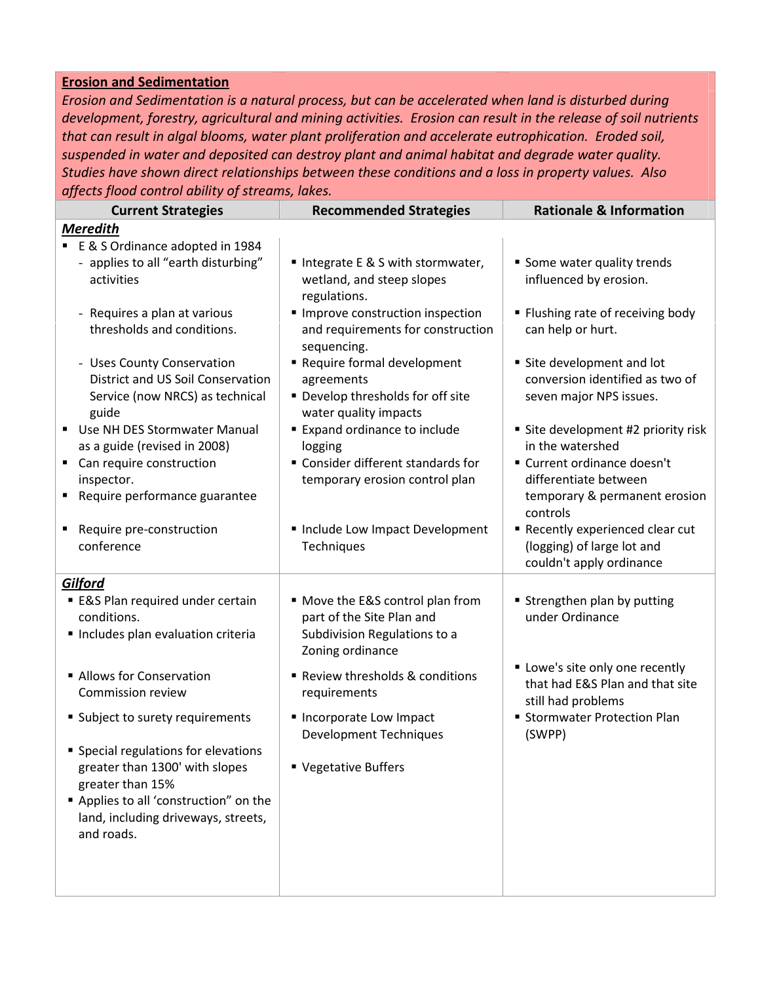## Erosion and Sedimentation

Erosion and Sedimentation is a natural process, but can be accelerated when land is disturbed during development, forestry, agricultural and mining activities. Erosion can result in the release of soil nutrients that can result in algal blooms, water plant proliferation and accelerate eutrophication. Eroded soil, suspended in water and deposited can destroy plant and animal habitat and degrade water quality. Studies have shown direct relationships between these conditions and a loss in property values. Also affects flood control ability of streams, lakes.

| <b>Current Strategies</b>                                                                                                                                                                                                          | <b>Recommended Strategies</b>                                                                                                                                                                                                     | <b>Rationale &amp; Information</b>                                                                                                                                                                                                                    |
|------------------------------------------------------------------------------------------------------------------------------------------------------------------------------------------------------------------------------------|-----------------------------------------------------------------------------------------------------------------------------------------------------------------------------------------------------------------------------------|-------------------------------------------------------------------------------------------------------------------------------------------------------------------------------------------------------------------------------------------------------|
| <b>Meredith</b>                                                                                                                                                                                                                    |                                                                                                                                                                                                                                   |                                                                                                                                                                                                                                                       |
| E & S Ordinance adopted in 1984<br>- applies to all "earth disturbing"<br>activities                                                                                                                                               | ■ Integrate E & S with stormwater,<br>wetland, and steep slopes<br>regulations.                                                                                                                                                   | Some water quality trends<br>influenced by erosion.                                                                                                                                                                                                   |
| - Requires a plan at various<br>thresholds and conditions.<br>- Uses County Conservation<br><b>District and US Soil Conservation</b>                                                                                               | Improve construction inspection<br>and requirements for construction<br>sequencing.<br>Require formal development<br>agreements                                                                                                   | " Flushing rate of receiving body<br>can help or hurt.<br>Site development and lot<br>conversion identified as two of                                                                                                                                 |
| Service (now NRCS) as technical<br>guide<br>Use NH DES Stormwater Manual<br>as a guide (revised in 2008)<br>Can require construction<br>٠<br>inspector.<br>Require performance guarantee<br>Require pre-construction<br>conference | Develop thresholds for off site<br>water quality impacts<br><b>Expand ordinance to include</b><br>logging<br>" Consider different standards for<br>temporary erosion control plan<br>Include Low Impact Development<br>Techniques | seven major NPS issues.<br>Site development #2 priority risk<br>in the watershed<br>" Current ordinance doesn't<br>differentiate between<br>temporary & permanent erosion<br>controls<br>Recently experienced clear cut<br>(logging) of large lot and |
| Gilford                                                                                                                                                                                                                            |                                                                                                                                                                                                                                   | couldn't apply ordinance                                                                                                                                                                                                                              |
| <b>E&amp;S Plan required under certain</b><br>conditions.<br>Includes plan evaluation criteria                                                                                                                                     | • Move the E&S control plan from<br>part of the Site Plan and<br>Subdivision Regulations to a<br>Zoning ordinance                                                                                                                 | " Strengthen plan by putting<br>under Ordinance                                                                                                                                                                                                       |
| Allows for Conservation<br><b>Commission review</b>                                                                                                                                                                                | Review thresholds & conditions<br>requirements                                                                                                                                                                                    | " Lowe's site only one recently<br>that had E&S Plan and that site<br>still had problems                                                                                                                                                              |
| • Subject to surety requirements<br><b>Special regulations for elevations</b><br>greater than 1300' with slopes<br>greater than 15%<br>Applies to all 'construction" on the<br>land, including driveways, streets,<br>and roads.   | Incorporate Low Impact<br><b>Development Techniques</b><br>" Vegetative Buffers                                                                                                                                                   | <b>Stormwater Protection Plan</b><br>(SWPP)                                                                                                                                                                                                           |
|                                                                                                                                                                                                                                    |                                                                                                                                                                                                                                   |                                                                                                                                                                                                                                                       |